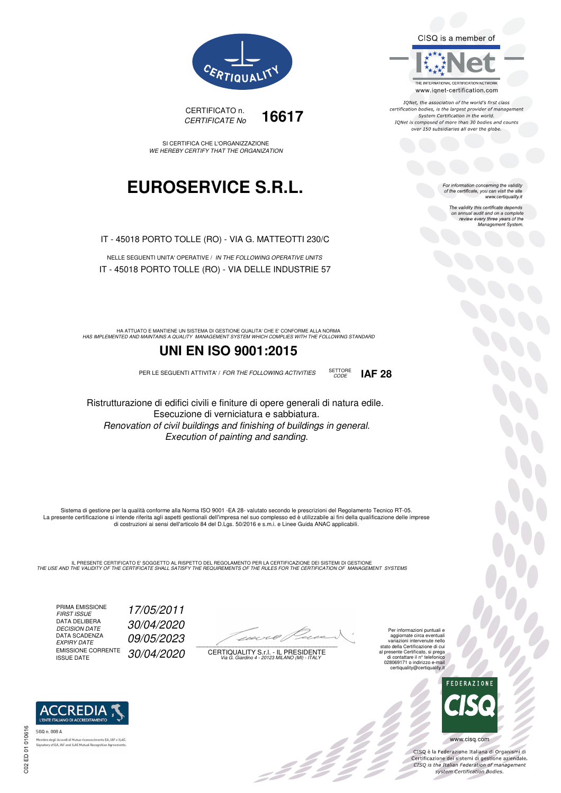CISQ is a member of



IQNet, the association of the world's first class certification bodies, is the largest provider of management System Certification in the world.<br>IQNet is composed of more than 30 bodies and counts over 150 subsidiaries all over the globe.

> For information concerning the validity<br>of the certificate, you can visit the site www.certiquality.it

> > The validity this certificate depends on annual audit and on a complete<br>on annual audit and on a complete<br>review every three years of the<br>Management System.



CERTIFICATO n. CERTIFICATE No **16617** 

SI CERTIFICA CHE L'ORGANIZZAZIONE WE HEREBY CERTIFY THAT THE ORGANIZATION

## **EUROSERVICE S.R.L.**

IT - 45018 PORTO TOLLE (RO) - VIA G. MATTEOTTI 230/C

NELLE SEGUENTI UNITA' OPERATIVE / IN THE FOLLOWING OPERATIVE UNITS IT - 45018 PORTO TOLLE (RO) - VIA DELLE INDUSTRIE 57

HA ATTUATO E MANTIENE UN SISTEMA DI GESTIONE QUALITA' CHE E' CONFORME ALLA NORMA<br>HAS IMPLEMENTED AND MAINTAINS A QUALITY MANAGEMENT SYSTEM WHICH COMPLIES WITH THE FOLLOWING STANDARD

### **UNI EN ISO 9001:2015**

PER LE SEGUENTI ATTIVITA' / FOR THE FOLLOWING ACTIVITIES SETTORE



Ristrutturazione di edifici civili e finiture di opere generali di natura edile. Esecuzione di verniciatura e sabbiatura. Renovation of civil buildings and finishing of buildings in general. Execution of painting and sanding.

Sistema di gestione per la qualità conforme alla Norma ISO 9001 -EA 28- valutato secondo le prescrizioni del Regolamento Tecnico RT-05. La presente certificazione si intende riferita agli aspetti gestionali dell'impresa nel suo complesso ed è utilizzabile ai fini della qualificazione delle imprese di costruzioni ai sensi dell'articolo 84 del D.Lgs. 50/2016 e s.m.i. e Linee Guida ANAC applicabili.

IL PRESENTE CERTIFICATO E' SOGGETTO AL RISPETTO DEL REGOLAMENTO PER LA CERTIFICAZIONE DEI SISTEMI DI GESTIONE<br>THE USE AND THE VALIDITY OF THE CERTIFICATE SHALL SATISFY THE REQUIREMENTS OF THE RULES FOR THE CERTIFICATION OF

PRIMA EMISSIONE FIRST ISSUE 17/05/2011 DATA DELIBERA DECISION DATE<br>DATA SCADENZA<br>EXPIRY DATE EMISSIONE CORRENTE<br>ISSUE DATE

DECISION DATE 30/04/2020

09/05/2023

30/04/2020

 $\overline{\phantom{a}}$ 

:422°

CERTIQUALITY S.r.l. - IL PRESIDENTE Via G. Giardino 4 - 20123 MILANO (MI) - ITALY

Per informazioni puntuali e aggiornate circa eventuali variazioni intervenute nello stato della Certificazione di cui al presente Certificato, si prega di contattare il n° telefonico 028069171 o indirizzo e-mail certiquality@certiquality.it



OOO

www.cisq.com

CISO è la Federazione Italiana di Organismi di CISQ e la regerazione italiana di Organismi di<br>Certificazione dei sistemi di gestione aziendale.<br>CISQ is the Italian Federation of management system Certification Bodies.



tory of EA, IAF and ILAC Mutual Recognit